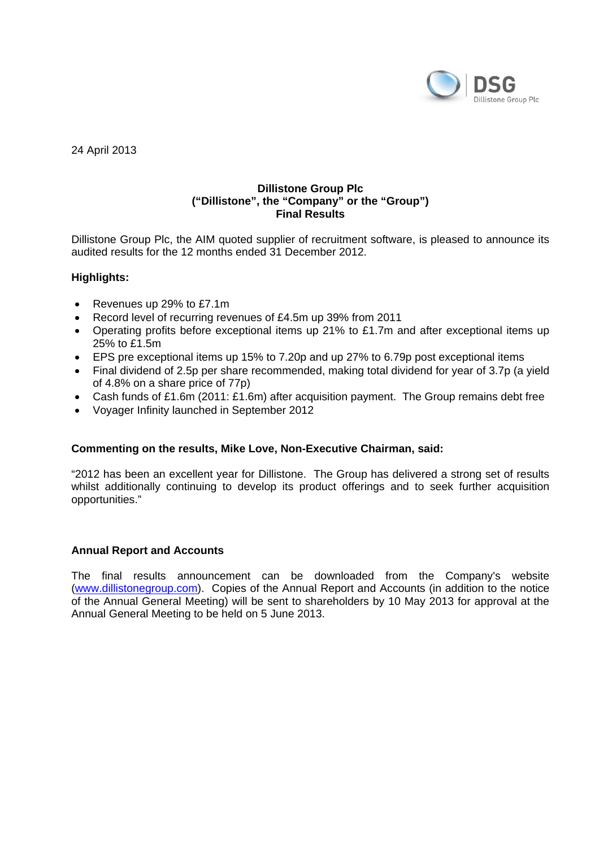

24 April 2013

#### **Dillistone Group Plc ("Dillistone", the "Company" or the "Group") Final Results**

Dillistone Group Plc, the AIM quoted supplier of recruitment software, is pleased to announce its audited results for the 12 months ended 31 December 2012.

## **Highlights:**

- Revenues up 29% to £7.1m
- Record level of recurring revenues of £4.5m up 39% from 2011
- Operating profits before exceptional items up 21% to £1.7m and after exceptional items up 25% to £1.5m
- EPS pre exceptional items up 15% to 7.20p and up 27% to 6.79p post exceptional items
- Final dividend of 2.5p per share recommended, making total dividend for year of 3.7p (a yield of 4.8% on a share price of 77p)
- Cash funds of £1.6m (2011: £1.6m) after acquisition payment. The Group remains debt free
- Voyager Infinity launched in September 2012

## **Commenting on the results, Mike Love, Non-Executive Chairman, said:**

"2012 has been an excellent year for Dillistone. The Group has delivered a strong set of results whilst additionally continuing to develop its product offerings and to seek further acquisition opportunities."

## **Annual Report and Accounts**

The final results announcement can be downloaded from the Company's website (www.dillistonegroup.com). Copies of the Annual Report and Accounts (in addition to the notice of the Annual General Meeting) will be sent to shareholders by 10 May 2013 for approval at the Annual General Meeting to be held on 5 June 2013.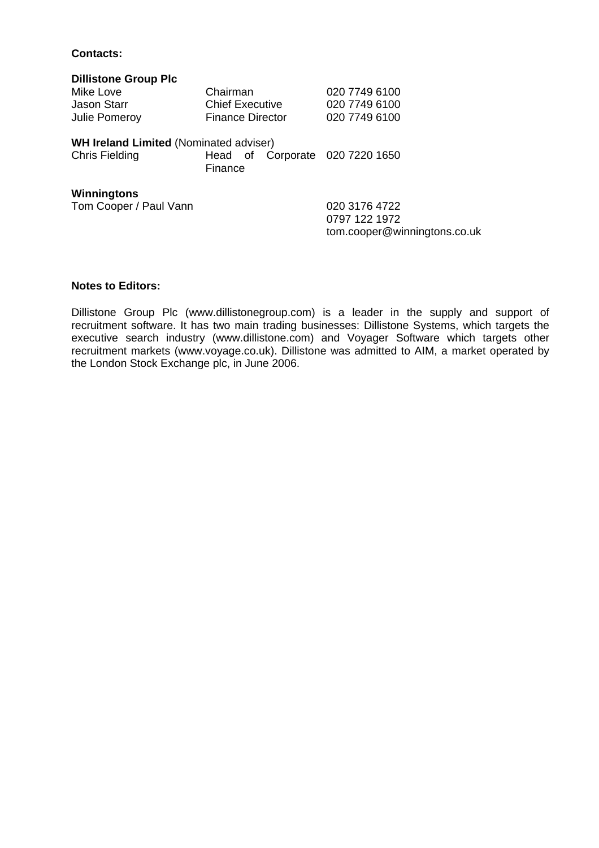#### **Contacts:**

| <b>Dillistone Group Plc</b>                   |                                            |               |
|-----------------------------------------------|--------------------------------------------|---------------|
| Mike Love                                     | Chairman                                   | 020 7749 6100 |
| <b>Jason Starr</b>                            | <b>Chief Executive</b>                     | 020 7749 6100 |
| Julie Pomeroy                                 | <b>Finance Director</b>                    | 020 7749 6100 |
| <b>WH Ireland Limited (Nominated adviser)</b> |                                            |               |
| <b>Chris Fielding</b>                         | Head of Corporate 020 7220 1650<br>Finance |               |
| Winningtons                                   |                                            |               |
| Tom Cooper / Paul Vann                        |                                            | 020 3176 4722 |
|                                               |                                            | 0797 122 1972 |

tom.cooper@winningtons.co.uk

## **Notes to Editors:**

Dillistone Group Plc (www.dillistonegroup.com) is a leader in the supply and support of recruitment software. It has two main trading businesses: Dillistone Systems, which targets the executive search industry (www.dillistone.com) and Voyager Software which targets other recruitment markets (www.voyage.co.uk). Dillistone was admitted to AIM, a market operated by the London Stock Exchange plc, in June 2006.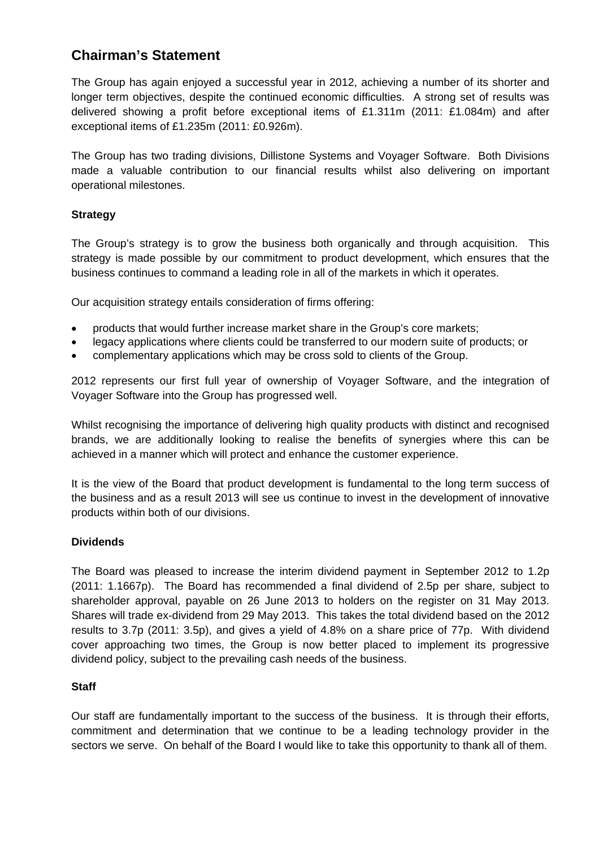# **Chairman's Statement**

The Group has again enjoyed a successful year in 2012, achieving a number of its shorter and longer term objectives, despite the continued economic difficulties. A strong set of results was delivered showing a profit before exceptional items of £1.311m (2011: £1.084m) and after exceptional items of £1.235m (2011: £0.926m).

The Group has two trading divisions, Dillistone Systems and Voyager Software. Both Divisions made a valuable contribution to our financial results whilst also delivering on important operational milestones.

## **Strategy**

The Group's strategy is to grow the business both organically and through acquisition. This strategy is made possible by our commitment to product development, which ensures that the business continues to command a leading role in all of the markets in which it operates.

Our acquisition strategy entails consideration of firms offering:

- products that would further increase market share in the Group's core markets;
- legacy applications where clients could be transferred to our modern suite of products; or
- complementary applications which may be cross sold to clients of the Group.

2012 represents our first full year of ownership of Voyager Software, and the integration of Voyager Software into the Group has progressed well.

Whilst recognising the importance of delivering high quality products with distinct and recognised brands, we are additionally looking to realise the benefits of synergies where this can be achieved in a manner which will protect and enhance the customer experience.

It is the view of the Board that product development is fundamental to the long term success of the business and as a result 2013 will see us continue to invest in the development of innovative products within both of our divisions.

#### **Dividends**

The Board was pleased to increase the interim dividend payment in September 2012 to 1.2p (2011: 1.1667p). The Board has recommended a final dividend of 2.5p per share, subject to shareholder approval, payable on 26 June 2013 to holders on the register on 31 May 2013. Shares will trade ex-dividend from 29 May 2013. This takes the total dividend based on the 2012 results to 3.7p (2011: 3.5p), and gives a yield of 4.8% on a share price of 77p. With dividend cover approaching two times, the Group is now better placed to implement its progressive dividend policy, subject to the prevailing cash needs of the business.

#### **Staff**

Our staff are fundamentally important to the success of the business. It is through their efforts, commitment and determination that we continue to be a leading technology provider in the sectors we serve. On behalf of the Board I would like to take this opportunity to thank all of them.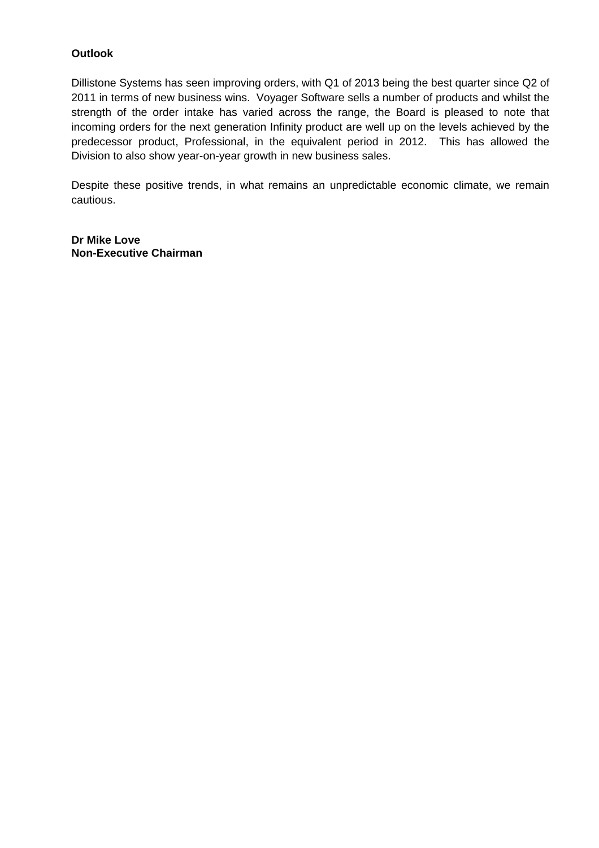## **Outlook**

Dillistone Systems has seen improving orders, with Q1 of 2013 being the best quarter since Q2 of 2011 in terms of new business wins. Voyager Software sells a number of products and whilst the strength of the order intake has varied across the range, the Board is pleased to note that incoming orders for the next generation Infinity product are well up on the levels achieved by the predecessor product, Professional, in the equivalent period in 2012. This has allowed the Division to also show year-on-year growth in new business sales.

Despite these positive trends, in what remains an unpredictable economic climate, we remain cautious.

**Dr Mike Love Non-Executive Chairman**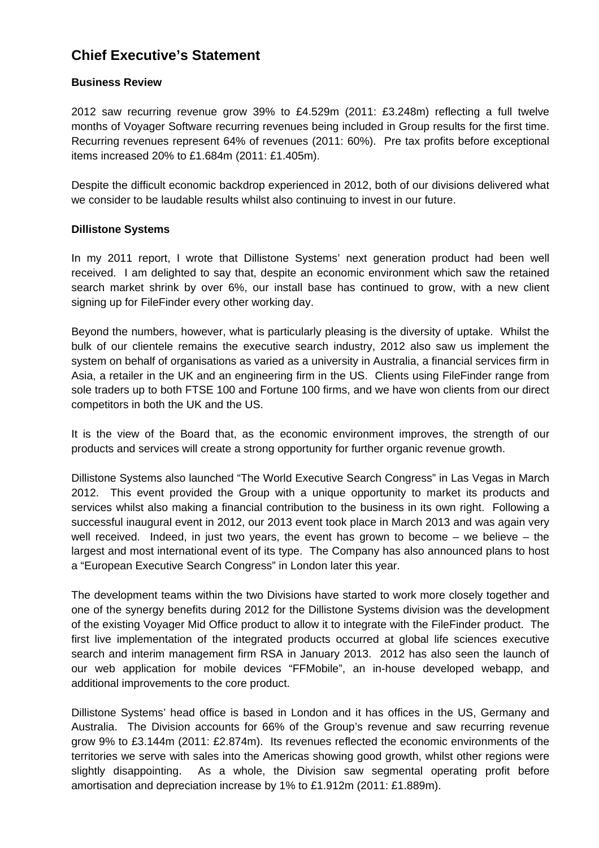# **Chief Executive's Statement**

## **Business Review**

2012 saw recurring revenue grow 39% to £4.529m (2011: £3.248m) reflecting a full twelve months of Voyager Software recurring revenues being included in Group results for the first time. Recurring revenues represent 64% of revenues (2011: 60%). Pre tax profits before exceptional items increased 20% to £1.684m (2011: £1.405m).

Despite the difficult economic backdrop experienced in 2012, both of our divisions delivered what we consider to be laudable results whilst also continuing to invest in our future.

## **Dillistone Systems**

In my 2011 report, I wrote that Dillistone Systems' next generation product had been well received. I am delighted to say that, despite an economic environment which saw the retained search market shrink by over 6%, our install base has continued to grow, with a new client signing up for FileFinder every other working day.

Beyond the numbers, however, what is particularly pleasing is the diversity of uptake. Whilst the bulk of our clientele remains the executive search industry, 2012 also saw us implement the system on behalf of organisations as varied as a university in Australia, a financial services firm in Asia, a retailer in the UK and an engineering firm in the US. Clients using FileFinder range from sole traders up to both FTSE 100 and Fortune 100 firms, and we have won clients from our direct competitors in both the UK and the US.

It is the view of the Board that, as the economic environment improves, the strength of our products and services will create a strong opportunity for further organic revenue growth.

Dillistone Systems also launched "The World Executive Search Congress" in Las Vegas in March 2012. This event provided the Group with a unique opportunity to market its products and services whilst also making a financial contribution to the business in its own right. Following a successful inaugural event in 2012, our 2013 event took place in March 2013 and was again very well received. Indeed, in just two years, the event has grown to become – we believe – the largest and most international event of its type. The Company has also announced plans to host a "European Executive Search Congress" in London later this year.

The development teams within the two Divisions have started to work more closely together and one of the synergy benefits during 2012 for the Dillistone Systems division was the development of the existing Voyager Mid Office product to allow it to integrate with the FileFinder product. The first live implementation of the integrated products occurred at global life sciences executive search and interim management firm RSA in January 2013. 2012 has also seen the launch of our web application for mobile devices "FFMobile", an in-house developed webapp, and additional improvements to the core product.

Dillistone Systems' head office is based in London and it has offices in the US, Germany and Australia. The Division accounts for 66% of the Group's revenue and saw recurring revenue grow 9% to £3.144m (2011: £2.874m). Its revenues reflected the economic environments of the territories we serve with sales into the Americas showing good growth, whilst other regions were slightly disappointing. As a whole, the Division saw segmental operating profit before amortisation and depreciation increase by 1% to £1.912m (2011: £1.889m).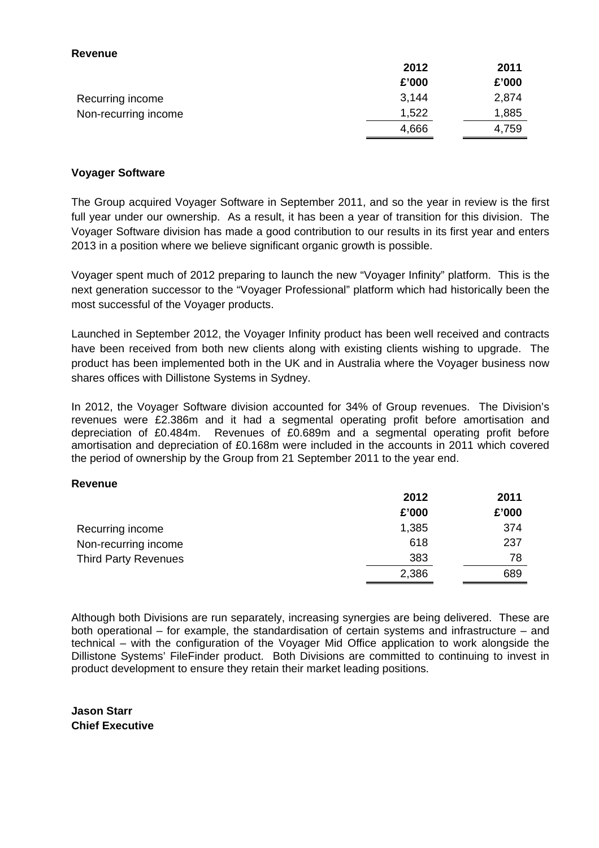|                      | 2012  | 2011  |
|----------------------|-------|-------|
|                      | £'000 | £'000 |
| Recurring income     | 3,144 | 2,874 |
| Non-recurring income | 1,522 | 1,885 |
|                      | 4,666 | 4,759 |

### **Voyager Software**

**Revenue** 

The Group acquired Voyager Software in September 2011, and so the year in review is the first full year under our ownership. As a result, it has been a year of transition for this division. The Voyager Software division has made a good contribution to our results in its first year and enters 2013 in a position where we believe significant organic growth is possible.

Voyager spent much of 2012 preparing to launch the new "Voyager Infinity" platform. This is the next generation successor to the "Voyager Professional" platform which had historically been the most successful of the Voyager products.

Launched in September 2012, the Voyager Infinity product has been well received and contracts have been received from both new clients along with existing clients wishing to upgrade. The product has been implemented both in the UK and in Australia where the Voyager business now shares offices with Dillistone Systems in Sydney.

In 2012, the Voyager Software division accounted for 34% of Group revenues. The Division's revenues were £2.386m and it had a segmental operating profit before amortisation and depreciation of £0.484m. Revenues of £0.689m and a segmental operating profit before amortisation and depreciation of £0.168m were included in the accounts in 2011 which covered the period of ownership by the Group from 21 September 2011 to the year end.

#### **Revenue**

|                             | 2012  | 2011  |
|-----------------------------|-------|-------|
|                             | £'000 | £'000 |
| Recurring income            | 1,385 | 374   |
| Non-recurring income        | 618   | 237   |
| <b>Third Party Revenues</b> | 383   | 78    |
|                             | 2,386 | 689   |

Although both Divisions are run separately, increasing synergies are being delivered. These are both operational – for example, the standardisation of certain systems and infrastructure – and technical – with the configuration of the Voyager Mid Office application to work alongside the Dillistone Systems' FileFinder product. Both Divisions are committed to continuing to invest in product development to ensure they retain their market leading positions.

**Jason Starr Chief Executive**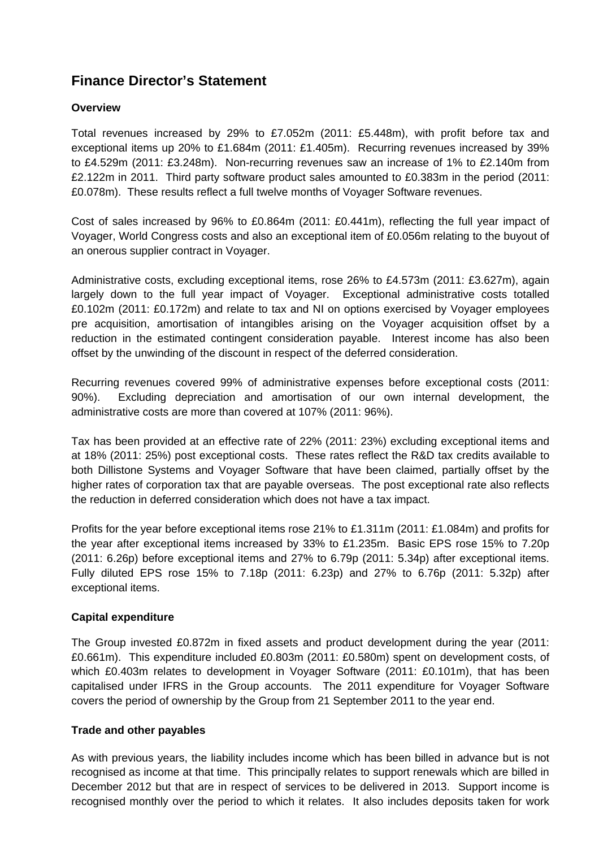# **Finance Director's Statement**

## **Overview**

Total revenues increased by 29% to £7.052m (2011: £5.448m), with profit before tax and exceptional items up 20% to £1.684m (2011: £1.405m). Recurring revenues increased by 39% to £4.529m (2011: £3.248m). Non-recurring revenues saw an increase of 1% to £2.140m from £2.122m in 2011. Third party software product sales amounted to £0.383m in the period (2011: £0.078m). These results reflect a full twelve months of Voyager Software revenues.

Cost of sales increased by 96% to £0.864m (2011: £0.441m), reflecting the full year impact of Voyager, World Congress costs and also an exceptional item of £0.056m relating to the buyout of an onerous supplier contract in Voyager.

Administrative costs, excluding exceptional items, rose 26% to £4.573m (2011: £3.627m), again largely down to the full year impact of Voyager. Exceptional administrative costs totalled £0.102m (2011: £0.172m) and relate to tax and NI on options exercised by Voyager employees pre acquisition, amortisation of intangibles arising on the Voyager acquisition offset by a reduction in the estimated contingent consideration payable. Interest income has also been offset by the unwinding of the discount in respect of the deferred consideration.

Recurring revenues covered 99% of administrative expenses before exceptional costs (2011: 90%). Excluding depreciation and amortisation of our own internal development, the administrative costs are more than covered at 107% (2011: 96%).

Tax has been provided at an effective rate of 22% (2011: 23%) excluding exceptional items and at 18% (2011: 25%) post exceptional costs. These rates reflect the R&D tax credits available to both Dillistone Systems and Voyager Software that have been claimed, partially offset by the higher rates of corporation tax that are payable overseas. The post exceptional rate also reflects the reduction in deferred consideration which does not have a tax impact.

Profits for the year before exceptional items rose 21% to £1.311m (2011: £1.084m) and profits for the year after exceptional items increased by 33% to £1.235m. Basic EPS rose 15% to 7.20p (2011: 6.26p) before exceptional items and 27% to 6.79p (2011: 5.34p) after exceptional items. Fully diluted EPS rose 15% to 7.18p (2011: 6.23p) and 27% to 6.76p (2011: 5.32p) after exceptional items.

#### **Capital expenditure**

The Group invested £0.872m in fixed assets and product development during the year (2011: £0.661m). This expenditure included £0.803m (2011: £0.580m) spent on development costs, of which £0.403m relates to development in Voyager Software (2011: £0.101m), that has been capitalised under IFRS in the Group accounts. The 2011 expenditure for Voyager Software covers the period of ownership by the Group from 21 September 2011 to the year end.

#### **Trade and other payables**

As with previous years, the liability includes income which has been billed in advance but is not recognised as income at that time. This principally relates to support renewals which are billed in December 2012 but that are in respect of services to be delivered in 2013. Support income is recognised monthly over the period to which it relates. It also includes deposits taken for work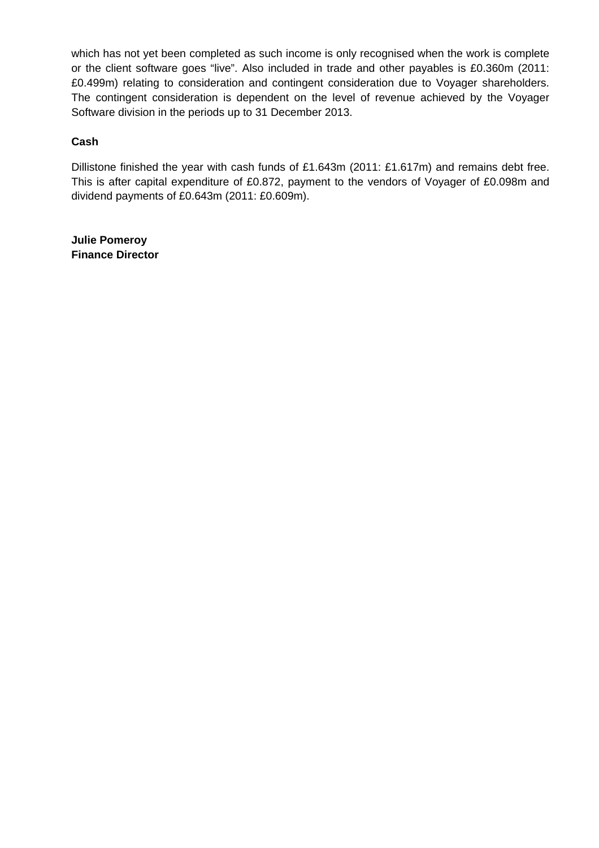which has not yet been completed as such income is only recognised when the work is complete or the client software goes "live". Also included in trade and other payables is £0.360m (2011: £0.499m) relating to consideration and contingent consideration due to Voyager shareholders. The contingent consideration is dependent on the level of revenue achieved by the Voyager Software division in the periods up to 31 December 2013.

## **Cash**

Dillistone finished the year with cash funds of £1.643m (2011: £1.617m) and remains debt free. This is after capital expenditure of £0.872, payment to the vendors of Voyager of £0.098m and dividend payments of £0.643m (2011: £0.609m).

**Julie Pomeroy Finance Director**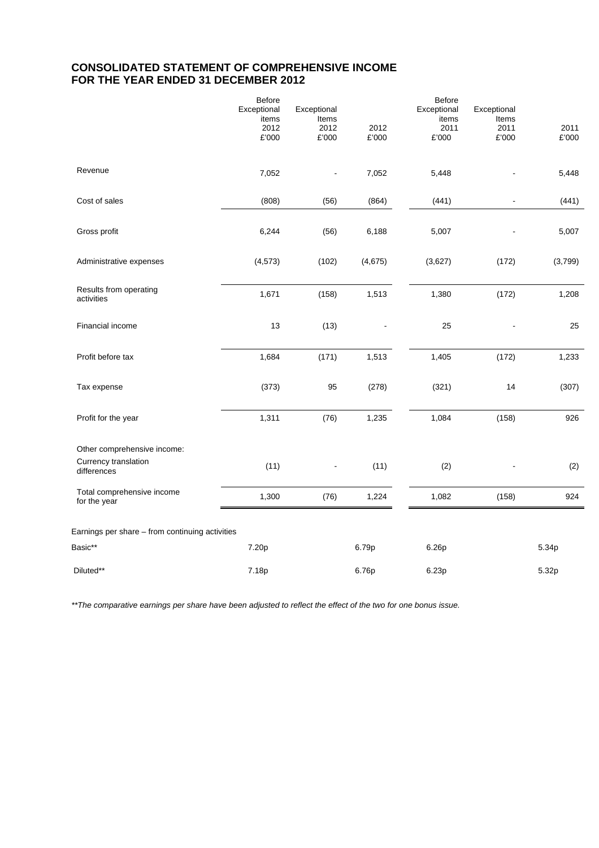#### **CONSOLIDATED STATEMENT OF COMPREHENSIVE INCOME FOR THE YEAR ENDED 31 DECEMBER 2012**

|                                                                    | Before<br>Exceptional<br>items<br>2012<br>£'000 | Exceptional<br>Items<br>2012<br>$\pounds'000$ | 2012<br>£'000  | Before<br>Exceptional<br>items<br>2011<br>$\pounds'000$ | Exceptional<br>Items<br>2011<br>£'000 | 2011<br>$£'000$ |
|--------------------------------------------------------------------|-------------------------------------------------|-----------------------------------------------|----------------|---------------------------------------------------------|---------------------------------------|-----------------|
| Revenue                                                            | 7,052                                           | $\overline{a}$                                | 7,052          | 5,448                                                   |                                       | 5,448           |
| Cost of sales                                                      | (808)                                           | (56)                                          | (864)          | (441)                                                   | $\blacksquare$                        | (441)           |
| Gross profit                                                       | 6,244                                           | (56)                                          | 6,188          | 5,007                                                   |                                       | 5,007           |
| Administrative expenses                                            | (4, 573)                                        | (102)                                         | (4,675)        | (3,627)                                                 | (172)                                 | (3,799)         |
| Results from operating<br>activities                               | 1,671                                           | (158)                                         | 1,513          | 1,380                                                   | (172)                                 | 1,208           |
| Financial income                                                   | 13                                              | (13)                                          | $\blacksquare$ | 25                                                      |                                       | 25              |
| Profit before tax                                                  | 1,684                                           | (171)                                         | 1,513          | 1,405                                                   | (172)                                 | 1,233           |
| Tax expense                                                        | (373)                                           | 95                                            | (278)          | (321)                                                   | 14                                    | (307)           |
| Profit for the year                                                | 1,311                                           | (76)                                          | 1,235          | 1,084                                                   | (158)                                 | 926             |
| Other comprehensive income:<br>Currency translation<br>differences | (11)                                            | $\overline{a}$                                | (11)           | (2)                                                     |                                       | (2)             |
| Total comprehensive income<br>for the year                         | 1,300                                           | (76)                                          | 1,224          | 1,082                                                   | (158)                                 | 924             |
| Earnings per share - from continuing activities                    |                                                 |                                               |                |                                                         |                                       |                 |
| Basic**                                                            | 7.20p                                           |                                               | 6.79p          | 6.26p                                                   |                                       | 5.34p           |
| Diluted**                                                          | 7.18p                                           |                                               | 6.76p          | 6.23p                                                   |                                       | 5.32p           |

*\*\*The comparative earnings per share have been adjusted to reflect the effect of the two for one bonus issue.*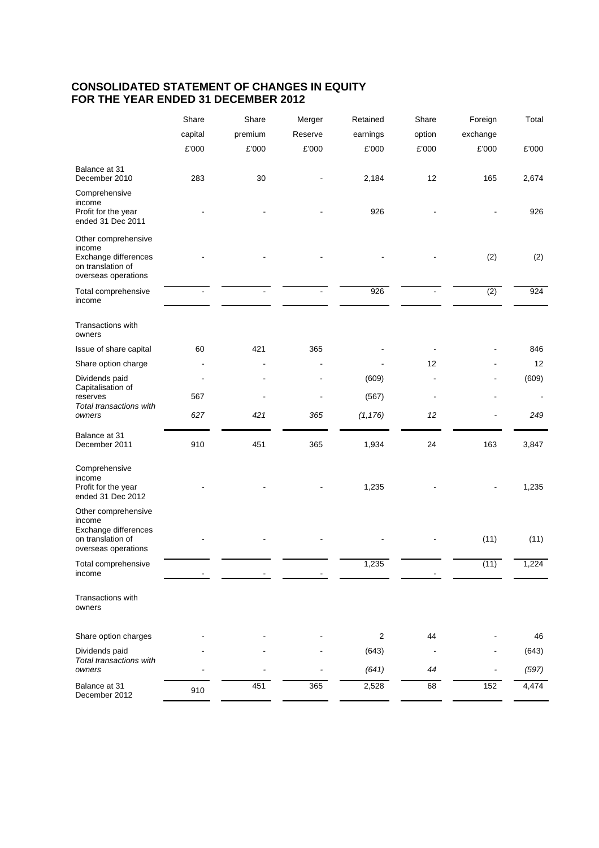## **CONSOLIDATED STATEMENT OF CHANGES IN EQUITY FOR THE YEAR ENDED 31 DECEMBER 2012**

|                                                                                                   | Share   | Share   | Merger  | Retained       | Share  | Foreign  | Total |
|---------------------------------------------------------------------------------------------------|---------|---------|---------|----------------|--------|----------|-------|
|                                                                                                   | capital | premium | Reserve | earnings       | option | exchange |       |
|                                                                                                   | £'000   | £'000   | £'000   | £'000          | £'000  | £'000    | £'000 |
| Balance at 31<br>December 2010                                                                    | 283     | 30      |         | 2,184          | 12     | 165      | 2,674 |
| Comprehensive<br>income<br>Profit for the year                                                    |         |         |         | 926            |        |          | 926   |
| ended 31 Dec 2011                                                                                 |         |         |         |                |        |          |       |
| Other comprehensive<br>income<br>Exchange differences<br>on translation of<br>overseas operations |         |         |         |                |        | (2)      | (2)   |
| Total comprehensive<br>income                                                                     |         |         |         | 926            |        | (2)      | 924   |
| Transactions with<br>owners                                                                       |         |         |         |                |        |          |       |
| Issue of share capital                                                                            | 60      | 421     | 365     |                |        |          | 846   |
| Share option charge                                                                               |         |         |         |                | 12     |          | 12    |
| Dividends paid<br>Capitalisation of                                                               |         |         |         | (609)          |        |          | (609) |
| reserves                                                                                          | 567     |         |         | (567)          |        |          |       |
| Total transactions with<br>owners                                                                 | 627     | 421     | 365     | (1, 176)       | 12     |          | 249   |
| Balance at 31<br>December 2011                                                                    | 910     | 451     | 365     | 1,934          | 24     | 163      | 3,847 |
| Comprehensive<br>income<br>Profit for the year<br>ended 31 Dec 2012                               |         |         |         | 1,235          |        |          | 1,235 |
| Other comprehensive<br>income<br>Exchange differences<br>on translation of<br>overseas operations |         |         |         |                |        | (11)     | (11)  |
| Total comprehensive<br>income                                                                     |         |         |         | 1,235          |        | (11)     | 1,224 |
| Transactions with<br>owners                                                                       |         |         |         |                |        |          |       |
| Share option charges                                                                              |         |         |         | $\overline{c}$ | 44     |          | 46    |
| Dividends paid                                                                                    |         |         |         | (643)          |        |          | (643) |
| Total transactions with<br>owners                                                                 |         |         |         | (641)          | 44     |          | (597) |
| Balance at 31<br>December 2012                                                                    | 910     | 451     | 365     | 2,528          | 68     | 152      | 4,474 |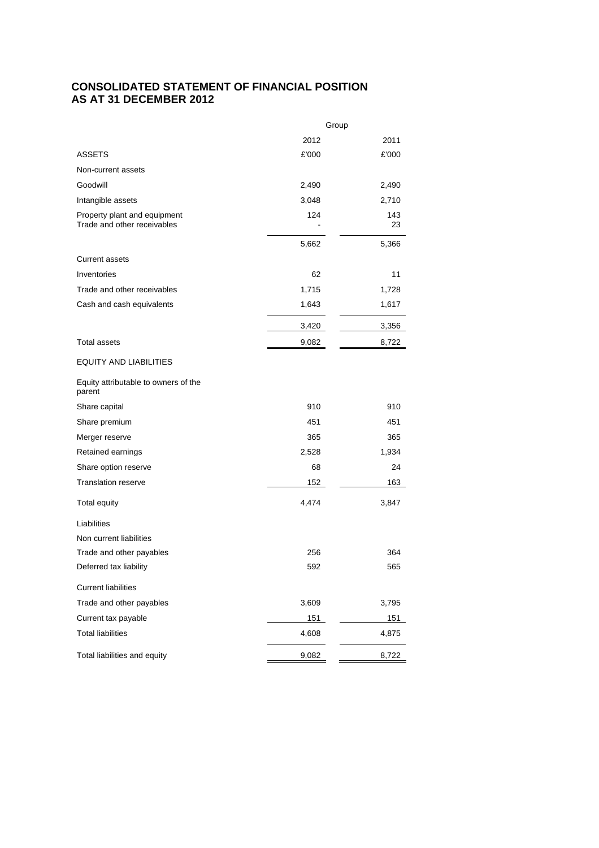## **CONSOLIDATED STATEMENT OF FINANCIAL POSITION AS AT 31 DECEMBER 2012**

|                                                             | Group |           |
|-------------------------------------------------------------|-------|-----------|
|                                                             | 2012  | 2011      |
| ASSETS                                                      | £'000 | £'000     |
| Non-current assets                                          |       |           |
| Goodwill                                                    | 2,490 | 2,490     |
| Intangible assets                                           | 3,048 | 2,710     |
| Property plant and equipment<br>Trade and other receivables | 124   | 143<br>23 |
|                                                             | 5,662 | 5,366     |
| <b>Current assets</b>                                       |       |           |
| Inventories                                                 | 62    | 11        |
| Trade and other receivables                                 | 1,715 | 1,728     |
| Cash and cash equivalents                                   | 1,643 | 1,617     |
|                                                             | 3,420 | 3,356     |
| <b>Total assets</b>                                         | 9,082 | 8,722     |
| <b>EQUITY AND LIABILITIES</b>                               |       |           |
| Equity attributable to owners of the<br>parent              |       |           |
| Share capital                                               | 910   | 910       |
| Share premium                                               | 451   | 451       |
| Merger reserve                                              | 365   | 365       |
| Retained earnings                                           | 2,528 | 1,934     |
| Share option reserve                                        | 68    | 24        |
| <b>Translation reserve</b>                                  | 152   | 163       |
| Total equity                                                | 4,474 | 3,847     |
| Liabilities                                                 |       |           |
| Non current liabilities                                     |       |           |
| Trade and other payables                                    | 256   | 364       |
| Deferred tax liability                                      | 592   | 565       |
| <b>Current liabilities</b>                                  |       |           |
| Trade and other payables                                    | 3,609 | 3,795     |
| Current tax payable                                         | 151   | 151       |
| <b>Total liabilities</b>                                    | 4,608 | 4,875     |
| Total liabilities and equity                                | 9,082 | 8,722     |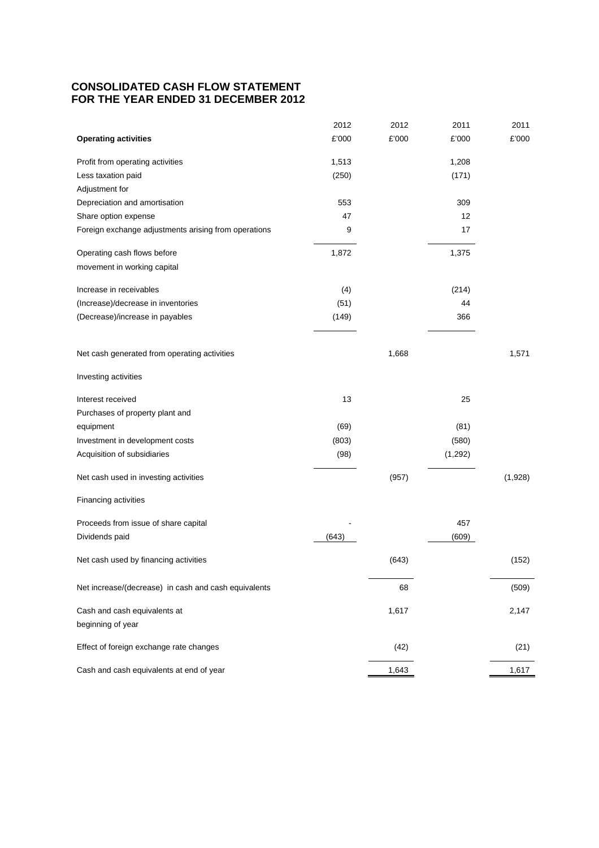## **CONSOLIDATED CASH FLOW STATEMENT FOR THE YEAR ENDED 31 DECEMBER 2012**

|                                                      | 2012  | 2012  | 2011    | 2011    |
|------------------------------------------------------|-------|-------|---------|---------|
| <b>Operating activities</b>                          | £'000 | £'000 | £'000   | £'000   |
| Profit from operating activities                     | 1,513 |       | 1,208   |         |
| Less taxation paid                                   | (250) |       | (171)   |         |
| Adjustment for                                       |       |       |         |         |
| Depreciation and amortisation                        | 553   |       | 309     |         |
| Share option expense                                 | 47    |       | 12      |         |
| Foreign exchange adjustments arising from operations | 9     |       | 17      |         |
| Operating cash flows before                          | 1,872 |       | 1,375   |         |
| movement in working capital                          |       |       |         |         |
| Increase in receivables                              | (4)   |       | (214)   |         |
| (Increase)/decrease in inventories                   | (51)  |       | 44      |         |
| (Decrease)/increase in payables                      | (149) |       | 366     |         |
| Net cash generated from operating activities         |       | 1,668 |         | 1,571   |
| Investing activities                                 |       |       |         |         |
| Interest received                                    | 13    |       | 25      |         |
| Purchases of property plant and                      |       |       |         |         |
| equipment                                            | (69)  |       | (81)    |         |
| Investment in development costs                      | (803) |       | (580)   |         |
| Acquisition of subsidiaries                          | (98)  |       | (1,292) |         |
| Net cash used in investing activities                |       | (957) |         | (1,928) |
| Financing activities                                 |       |       |         |         |
| Proceeds from issue of share capital                 |       |       | 457     |         |
| Dividends paid                                       | (643) |       | (609)   |         |
| Net cash used by financing activities                |       | (643) |         | (152)   |
| Net increase/(decrease) in cash and cash equivalents |       | 68    |         | (509)   |
| Cash and cash equivalents at<br>beginning of year    |       | 1,617 |         | 2,147   |
| Effect of foreign exchange rate changes              |       | (42)  |         | (21)    |
| Cash and cash equivalents at end of year             |       | 1,643 |         | 1,617   |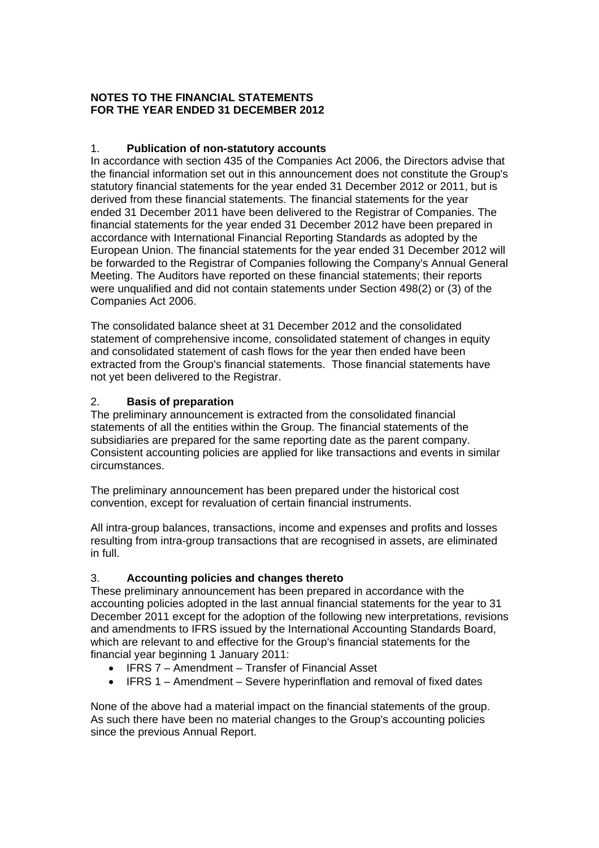## **NOTES TO THE FINANCIAL STATEMENTS FOR THE YEAR ENDED 31 DECEMBER 2012**

## 1. **Publication of non-statutory accounts**

In accordance with section 435 of the Companies Act 2006, the Directors advise that the financial information set out in this announcement does not constitute the Group's statutory financial statements for the year ended 31 December 2012 or 2011, but is derived from these financial statements. The financial statements for the year ended 31 December 2011 have been delivered to the Registrar of Companies. The financial statements for the year ended 31 December 2012 have been prepared in accordance with International Financial Reporting Standards as adopted by the European Union. The financial statements for the year ended 31 December 2012 will be forwarded to the Registrar of Companies following the Company's Annual General Meeting. The Auditors have reported on these financial statements; their reports were unqualified and did not contain statements under Section 498(2) or (3) of the Companies Act 2006.

The consolidated balance sheet at 31 December 2012 and the consolidated statement of comprehensive income, consolidated statement of changes in equity and consolidated statement of cash flows for the year then ended have been extracted from the Group's financial statements. Those financial statements have not yet been delivered to the Registrar.

## 2. **Basis of preparation**

The preliminary announcement is extracted from the consolidated financial statements of all the entities within the Group. The financial statements of the subsidiaries are prepared for the same reporting date as the parent company. Consistent accounting policies are applied for like transactions and events in similar circumstances.

The preliminary announcement has been prepared under the historical cost convention, except for revaluation of certain financial instruments.

All intra-group balances, transactions, income and expenses and profits and losses resulting from intra-group transactions that are recognised in assets, are eliminated in full.

## 3. **Accounting policies and changes thereto**

These preliminary announcement has been prepared in accordance with the accounting policies adopted in the last annual financial statements for the year to 31 December 2011 except for the adoption of the following new interpretations, revisions and amendments to IFRS issued by the International Accounting Standards Board, which are relevant to and effective for the Group's financial statements for the financial year beginning 1 January 2011:

- IFRS 7 Amendment Transfer of Financial Asset
- IFRS 1 Amendment Severe hyperinflation and removal of fixed dates

None of the above had a material impact on the financial statements of the group. As such there have been no material changes to the Group's accounting policies since the previous Annual Report.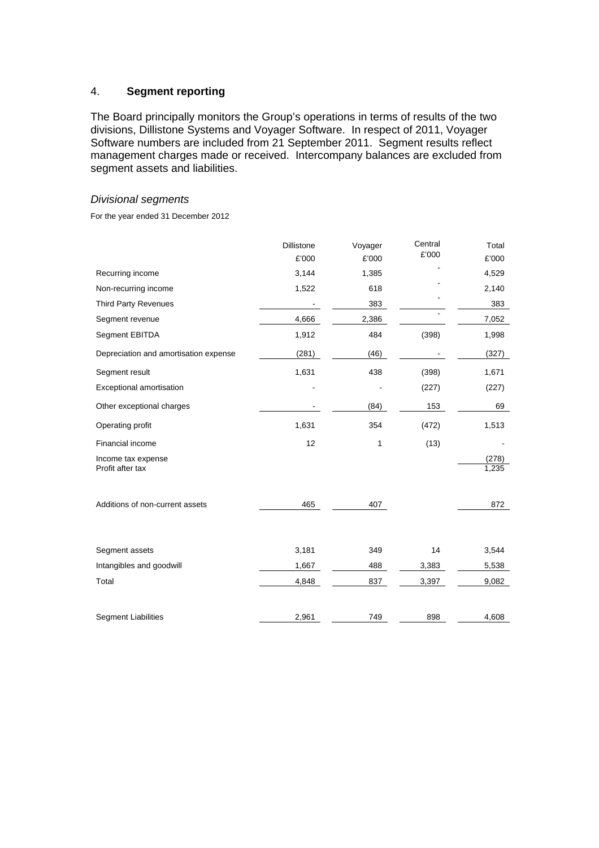#### 4. **Segment reporting**

The Board principally monitors the Group's operations in terms of results of the two divisions, Dillistone Systems and Voyager Software. In respect of 2011, Voyager Software numbers are included from 21 September 2011. Segment results reflect management charges made or received. Intercompany balances are excluded from segment assets and liabilities.

#### *Divisional segments*

For the year ended 31 December 2012

|                                        | <b>Dillistone</b><br>£'000 | Voyager<br>£'000 | Central<br>£'000 | Total<br>£'000 |
|----------------------------------------|----------------------------|------------------|------------------|----------------|
| Recurring income                       | 3,144                      | 1,385            |                  | 4,529          |
| Non-recurring income                   | 1,522                      | 618              |                  | 2,140          |
| <b>Third Party Revenues</b>            |                            | 383              |                  | 383            |
| Segment revenue                        | 4,666                      | 2,386            |                  | 7,052          |
| Segment EBITDA                         | 1,912                      | 484              | (398)            | 1,998          |
| Depreciation and amortisation expense  | (281)                      | (46)             |                  | (327)          |
| Segment result                         | 1,631                      | 438              | (398)            | 1,671          |
| Exceptional amortisation               |                            |                  | (227)            | (227)          |
| Other exceptional charges              |                            | (84)             | 153              | 69             |
| Operating profit                       | 1,631                      | 354              | (472)            | 1,513          |
| Financial income                       | 12                         | 1                | (13)             |                |
| Income tax expense<br>Profit after tax |                            |                  |                  | (278)<br>1,235 |
| Additions of non-current assets        | 465                        | 407              |                  | 872            |
| Segment assets                         | 3,181                      | 349              | 14               | 3,544          |
| Intangibles and goodwill               | 1,667                      | 488              | 3,383            | 5,538          |
| Total                                  | 4,848                      | 837              | 3,397            | 9,082          |
| <b>Segment Liabilities</b>             | 2,961                      | 749              | 898              | 4,608          |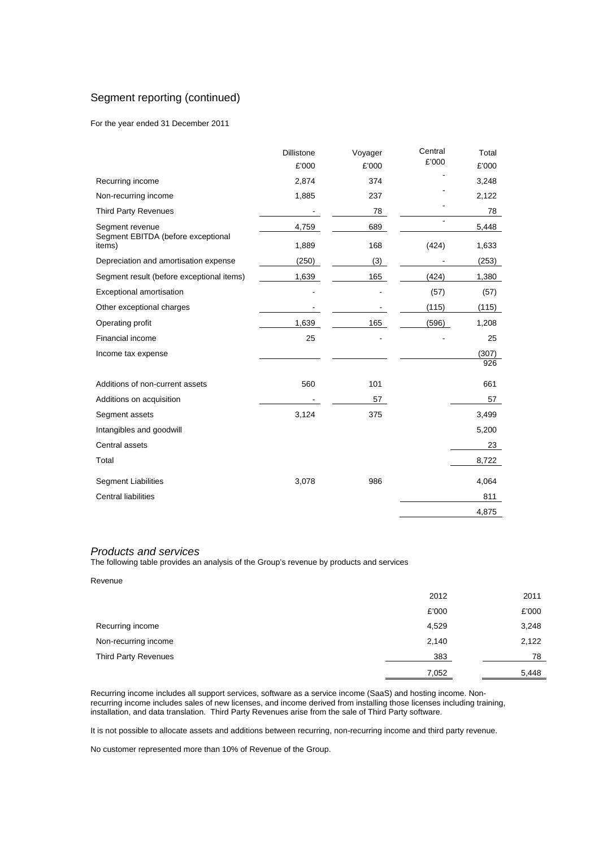### Segment reporting (continued)

For the year ended 31 December 2011

|                                                       | <b>Dillistone</b> | Voyager | Central<br>£'000 | Total |
|-------------------------------------------------------|-------------------|---------|------------------|-------|
|                                                       | £'000             | £'000   |                  | £'000 |
| Recurring income                                      | 2,874             | 374     |                  | 3,248 |
| Non-recurring income                                  | 1,885             | 237     |                  | 2,122 |
| <b>Third Party Revenues</b>                           |                   | 78      |                  | 78    |
| Segment revenue<br>Segment EBITDA (before exceptional | 4,759             | 689     |                  | 5,448 |
| items)                                                | 1,889             | 168     | (424)            | 1,633 |
| Depreciation and amortisation expense                 | (250)             | (3)     |                  | (253) |
| Segment result (before exceptional items)             | 1,639             | 165     | (424)            | 1,380 |
| Exceptional amortisation                              |                   |         | (57)             | (57)  |
| Other exceptional charges                             |                   |         | (115)            | (115) |
| Operating profit                                      | 1,639             | 165     | (596)            | 1,208 |
| Financial income                                      | 25                |         |                  | 25    |
| Income tax expense                                    |                   |         |                  | (307) |
|                                                       |                   |         |                  | 926   |
| Additions of non-current assets                       | 560               | 101     |                  | 661   |
| Additions on acquisition                              |                   | 57      |                  | 57    |
| Segment assets                                        | 3,124             | 375     |                  | 3,499 |
| Intangibles and goodwill                              |                   |         |                  | 5,200 |
| Central assets                                        |                   |         |                  | 23    |
| Total                                                 |                   |         |                  | 8,722 |
| <b>Segment Liabilities</b>                            | 3,078             | 986     |                  | 4,064 |
| <b>Central liabilities</b>                            |                   |         |                  | 811   |
|                                                       |                   |         |                  | 4,875 |

#### *Products and services*

The following table provides an analysis of the Group's revenue by products and services

| Revenue              |       |       |
|----------------------|-------|-------|
|                      | 2012  | 2011  |
|                      | £'000 | £'000 |
| Recurring income     | 4,529 | 3,248 |
| Non-recurring income | 2,140 | 2,122 |
| Third Party Revenues | 383   | 78    |
|                      | 7,052 | 5,448 |

Recurring income includes all support services, software as a service income (SaaS) and hosting income. Nonrecurring income includes sales of new licenses, and income derived from installing those licenses including training, installation, and data translation. Third Party Revenues arise from the sale of Third Party software.

It is not possible to allocate assets and additions between recurring, non-recurring income and third party revenue.

No customer represented more than 10% of Revenue of the Group.